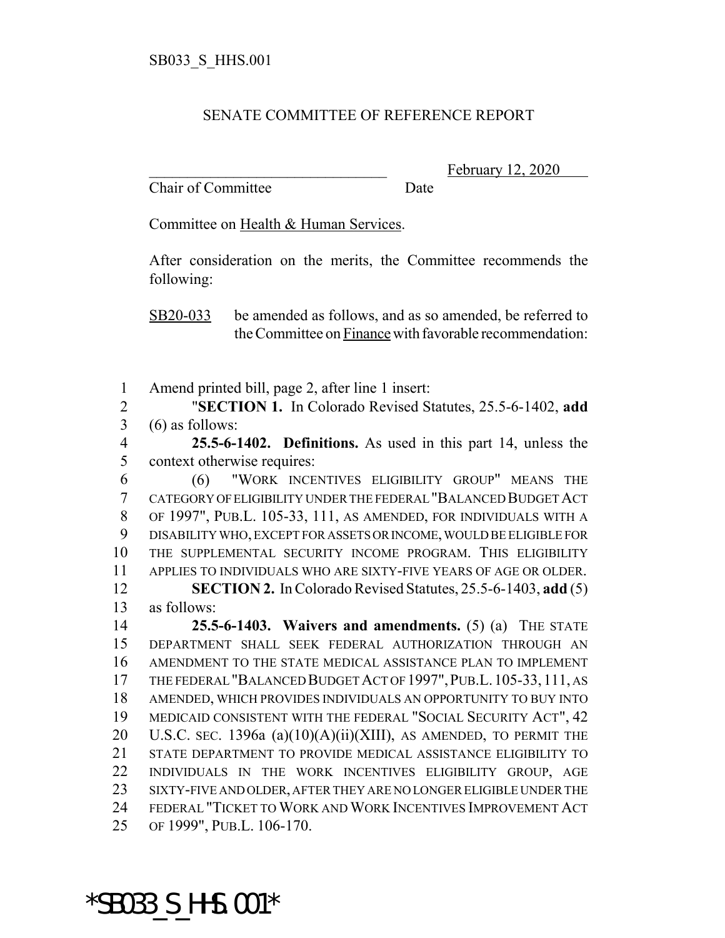## SENATE COMMITTEE OF REFERENCE REPORT

Chair of Committee Date

February 12, 2020

Committee on Health & Human Services.

After consideration on the merits, the Committee recommends the following:

SB20-033 be amended as follows, and as so amended, be referred to the Committee on Finance with favorable recommendation:

Amend printed bill, page 2, after line 1 insert:

 "**SECTION 1.** In Colorado Revised Statutes, 25.5-6-1402, **add** (6) as follows:

 **25.5-6-1402. Definitions.** As used in this part 14, unless the context otherwise requires:

 (6) "WORK INCENTIVES ELIGIBILITY GROUP" MEANS THE CATEGORY OF ELIGIBILITY UNDER THE FEDERAL "BALANCED BUDGET ACT OF 1997", PUB.L. 105-33, 111, AS AMENDED, FOR INDIVIDUALS WITH A DISABILITY WHO, EXCEPT FOR ASSETS OR INCOME, WOULD BE ELIGIBLE FOR THE SUPPLEMENTAL SECURITY INCOME PROGRAM. THIS ELIGIBILITY APPLIES TO INDIVIDUALS WHO ARE SIXTY-FIVE YEARS OF AGE OR OLDER. **SECTION 2.** In Colorado Revised Statutes, 25.5-6-1403, **add** (5)

as follows:

 **25.5-6-1403. Waivers and amendments.** (5) (a) THE STATE DEPARTMENT SHALL SEEK FEDERAL AUTHORIZATION THROUGH AN AMENDMENT TO THE STATE MEDICAL ASSISTANCE PLAN TO IMPLEMENT THE FEDERAL "BALANCED BUDGET ACT OF 1997",PUB.L.105-33,111, AS AMENDED, WHICH PROVIDES INDIVIDUALS AN OPPORTUNITY TO BUY INTO MEDICAID CONSISTENT WITH THE FEDERAL "SOCIAL SECURITY ACT", 42 20 U.S.C. SEC. 1396a  $(a)(10)(A)(ii)(XIII)$ , AS AMENDED, TO PERMIT THE STATE DEPARTMENT TO PROVIDE MEDICAL ASSISTANCE ELIGIBILITY TO INDIVIDUALS IN THE WORK INCENTIVES ELIGIBILITY GROUP, AGE SIXTY-FIVE AND OLDER, AFTER THEY ARE NO LONGER ELIGIBLE UNDER THE FEDERAL "TICKET TO WORK AND WORK INCENTIVES IMPROVEMENT ACT OF 1999", PUB.L. 106-170.

\*SB033\_S\_HHS.001\*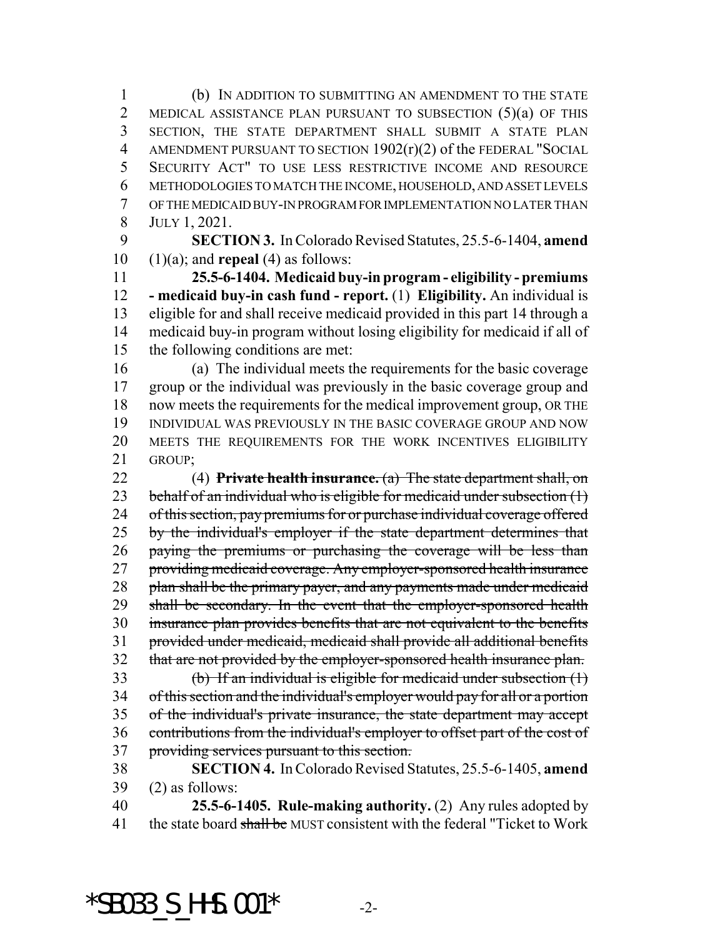(b) IN ADDITION TO SUBMITTING AN AMENDMENT TO THE STATE MEDICAL ASSISTANCE PLAN PURSUANT TO SUBSECTION (5)(a) OF THIS SECTION, THE STATE DEPARTMENT SHALL SUBMIT A STATE PLAN AMENDMENT PURSUANT TO SECTION 1902(r)(2) of the FEDERAL "SOCIAL SECURITY ACT" TO USE LESS RESTRICTIVE INCOME AND RESOURCE METHODOLOGIES TO MATCH THE INCOME, HOUSEHOLD, AND ASSET LEVELS OF THE MEDICAID BUY-IN PROGRAM FOR IMPLEMENTATION NO LATER THAN JULY 1, 2021.

 **SECTION 3.** In Colorado Revised Statutes, 25.5-6-1404, **amend** 10  $(1)(a)$ ; and **repeal** (4) as follows:

 **25.5-6-1404. Medicaid buy-in program - eligibility - premiums - medicaid buy-in cash fund - report.** (1) **Eligibility.** An individual is eligible for and shall receive medicaid provided in this part 14 through a medicaid buy-in program without losing eligibility for medicaid if all of the following conditions are met:

 (a) The individual meets the requirements for the basic coverage group or the individual was previously in the basic coverage group and now meets the requirements for the medical improvement group, OR THE INDIVIDUAL WAS PREVIOUSLY IN THE BASIC COVERAGE GROUP AND NOW MEETS THE REQUIREMENTS FOR THE WORK INCENTIVES ELIGIBILITY GROUP;

 (4) **Private health insurance.** (a) The state department shall, on 23 behalf of an individual who is eligible for medicaid under subsection  $(1)$  of this section, pay premiums for or purchase individual coverage offered by the individual's employer if the state department determines that paying the premiums or purchasing the coverage will be less than providing medicaid coverage. Any employer-sponsored health insurance 28 plan shall be the primary payer, and any payments made under medicaid shall be secondary. In the event that the employer-sponsored health insurance plan provides benefits that are not equivalent to the benefits provided under medicaid, medicaid shall provide all additional benefits that are not provided by the employer-sponsored health insurance plan. (b) If an individual is eligible for medicaid under subsection (1)

 of this section and the individual's employer would pay for all or a portion of the individual's private insurance, the state department may accept contributions from the individual's employer to offset part of the cost of providing services pursuant to this section.

 **SECTION 4.** In Colorado Revised Statutes, 25.5-6-1405, **amend** (2) as follows:

 **25.5-6-1405. Rule-making authority.** (2) Any rules adopted by 41 the state board shall be MUST consistent with the federal "Ticket to Work"

 $*$ SB033 S HHS.001 $*$  -2-